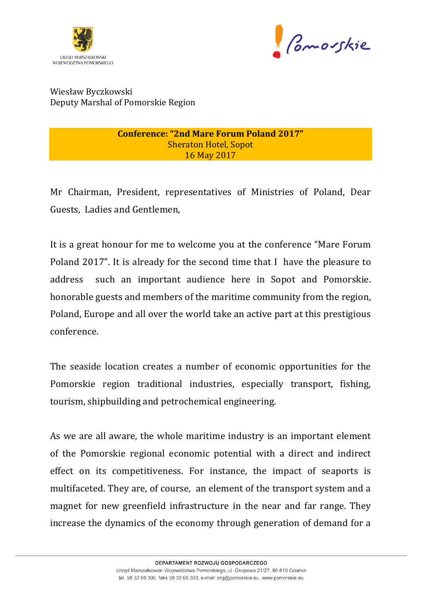



Wiesław Byczkowski Deputy Marshal of Pomorskie Region

> **Conference: "2nd Mare Forum Poland 2017" Sheraton Hotel, Sopot** 16 May 2017

Mr Chairman, President, representatives of Ministries of Poland, Dear Guests, Ladies and Gentlemen,

It is a great honour for me to welcome you at the conference "Mare Forum Poland 2017". It is already for the second time that I have the pleasure to address such an important audience here in Sopot and Pomorskie. honorable guests and members of the maritime community from the region, Poland, Europe and all over the world take an active part at this prestigious conference.

The seaside location creates a number of economic opportunities for the Pomorskie region traditional industries, especially transport, fishing, tourism, shipbuilding and petrochemical engineering.

As we are all aware, the whole maritime industry is an important element of the Pomorskie regional economic potential with a direct and indirect effect on its competitiveness. For instance, the impact of seaports is multifaceted. They are, of course, an element of the transport system and a magnet for new greenfield infrastructure in the near and far range. They increase the dynamics of the economy through generation of demand for a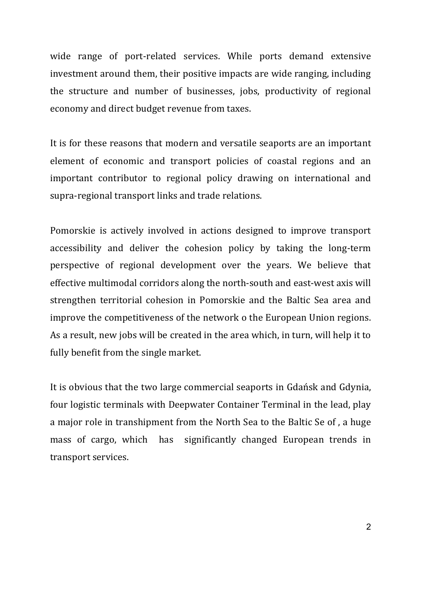wide range of port-related services. While ports demand extensive investment around them, their positive impacts are wide ranging, including the structure and number of businesses, jobs, productivity of regional economy and direct budget revenue from taxes.

It is for these reasons that modern and versatile seaports are an important element of economic and transport policies of coastal regions and an important contributor to regional policy drawing on international and supra-regional transport links and trade relations.

Pomorskie is actively involved in actions designed to improve transport accessibility and deliver the cohesion policy by taking the long-term perspective of regional development over the years. We believe that effective multimodal corridors along the north-south and east-west axis will strengthen territorial cohesion in Pomorskie and the Baltic Sea area and improve the competitiveness of the network o the European Union regions. As a result, new jobs will be created in the area which, in turn, will help it to fully benefit from the single market.

It is obvious that the two large commercial seaports in Gdańsk and Gdynia, four logistic terminals with Deepwater Container Terminal in the lead, play a major role in transhipment from the North Sea to the Baltic Se of, a huge mass of cargo, which has significantly changed European trends in transport services.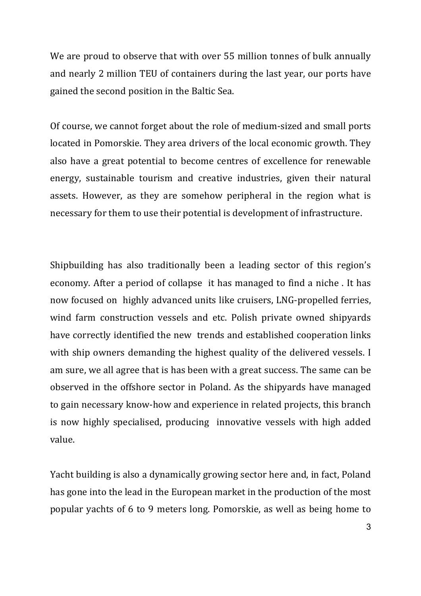We are proud to observe that with over 55 million tonnes of bulk annually and nearly 2 million TEU of containers during the last year, our ports have gained the second position in the Baltic Sea.

Of course, we cannot forget about the role of medium-sized and small ports located in Pomorskie. They area drivers of the local economic growth. They also have a great potential to become centres of excellence for renewable energy, sustainable tourism and creative industries, given their natural assets. However, as they are somehow peripheral in the region what is necessary for them to use their potential is development of infrastructure.

Shipbuilding has also traditionally been a leading sector of this region's economy. After a period of collapse it has managed to find a niche. It has now focused on highly advanced units like cruisers, LNG-propelled ferries, wind farm construction vessels and etc. Polish private owned shipyards have correctly identified the new trends and established cooperation links with ship owners demanding the highest quality of the delivered vessels. I am sure, we all agree that is has been with a great success. The same can be observed in the offshore sector in Poland. As the shipyards have managed to gain necessary know-how and experience in related projects, this branch is now highly specialised, producing innovative vessels with high added value. 

Yacht building is also a dynamically growing sector here and, in fact, Poland has gone into the lead in the European market in the production of the most popular yachts of 6 to 9 meters long. Pomorskie, as well as being home to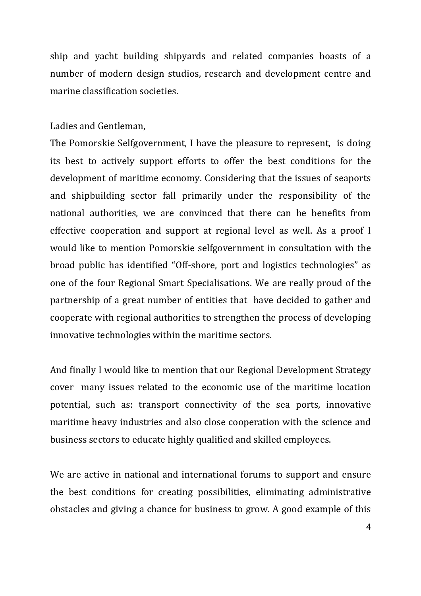ship and yacht building shipyards and related companies boasts of a number of modern design studios, research and development centre and marine classification societies.

## Ladies and Gentleman,

The Pomorskie Selfgovernment, I have the pleasure to represent, is doing its best to actively support efforts to offer the best conditions for the development of maritime economy. Considering that the issues of seaports and shipbuilding sector fall primarily under the responsibility of the national authorities, we are convinced that there can be benefits from effective cooperation and support at regional level as well. As a proof I would like to mention Pomorskie selfgovernment in consultation with the broad public has identified "Off-shore, port and logistics technologies" as one of the four Regional Smart Specialisations. We are really proud of the partnership of a great number of entities that have decided to gather and cooperate with regional authorities to strengthen the process of developing innovative technologies within the maritime sectors.

And finally I would like to mention that our Regional Development Strategy cover many issues related to the economic use of the maritime location potential, such as: transport connectivity of the sea ports, innovative maritime heavy industries and also close cooperation with the science and business sectors to educate highly qualified and skilled employees.

We are active in national and international forums to support and ensure the best conditions for creating possibilities, eliminating administrative obstacles and giving a chance for business to grow. A good example of this